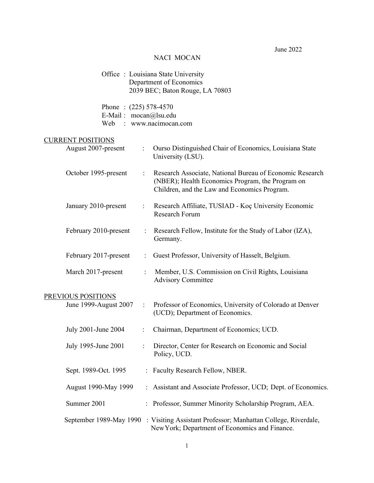# June 2022

# NACI MOCAN

|                                                         |                           | Office: Louisiana State University<br>Department of Economics<br>2039 BEC; Baton Rouge, LA 70803                                                             |
|---------------------------------------------------------|---------------------------|--------------------------------------------------------------------------------------------------------------------------------------------------------------|
| Phone: $(225)$ 578-4570<br>E-Mail: mocan@lsu.edu<br>Web |                           | : www.nacimocan.com                                                                                                                                          |
| <b>CURRENT POSITIONS</b><br>August 2007-present         |                           | Ourso Distinguished Chair of Economics, Louisiana State<br>University (LSU).                                                                                 |
| October 1995-present                                    | ÷                         | Research Associate, National Bureau of Economic Research<br>(NBER); Health Economics Program, the Program on<br>Children, and the Law and Economics Program. |
| January 2010-present                                    |                           | Research Affiliate, TUSIAD - Koç University Economic<br>Research Forum                                                                                       |
| February 2010-present                                   |                           | Research Fellow, Institute for the Study of Labor (IZA),<br>Germany.                                                                                         |
| February 2017-present                                   | $\mathbb{R}^{\mathbb{Z}}$ | Guest Professor, University of Hasselt, Belgium.                                                                                                             |
| March 2017-present                                      |                           | Member, U.S. Commission on Civil Rights, Louisiana<br><b>Advisory Committee</b>                                                                              |
| PREVIOUS POSITIONS                                      |                           |                                                                                                                                                              |
| June 1999-August 2007                                   | $\ddot{\cdot}$            | Professor of Economics, University of Colorado at Denver<br>(UCD); Department of Economics.                                                                  |
| July 2001-June 2004                                     | $\ddot{\phantom{0}}$      | Chairman, Department of Economics; UCD.                                                                                                                      |
| July 1995-June 2001                                     |                           | Director, Center for Research on Economic and Social<br>Policy, UCD.                                                                                         |
| Sept. 1989-Oct. 1995                                    | $\ddot{\cdot}$            | Faculty Research Fellow, NBER.                                                                                                                               |
| August 1990-May 1999                                    |                           | Assistant and Associate Professor, UCD; Dept. of Economics.                                                                                                  |
| Summer 2001                                             |                           | Professor, Summer Minority Scholarship Program, AEA.                                                                                                         |
| September 1989-May 1990                                 |                           | : Visiting Assistant Professor; Manhattan College, Riverdale,<br>New York; Department of Economics and Finance.                                              |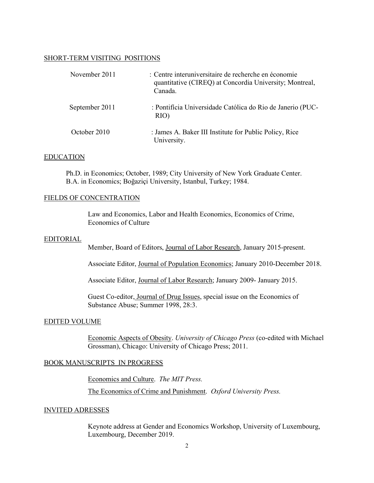#### SHORT-TERM VISITING POSITIONS

| November 2011  | : Centre interuniversitaire de recherche en économie<br>quantitative (CIREQ) at Concordia University; Montreal,<br>Canada. |
|----------------|----------------------------------------------------------------------------------------------------------------------------|
| September 2011 | : Pontifícia Universidade Católica do Rio de Janerio (PUC-<br>RIO)                                                         |
| October 2010   | : James A. Baker III Institute for Public Policy, Rice<br>University.                                                      |

#### EDUCATION

Ph.D. in Economics; October, 1989; City University of New York Graduate Center. B.A. in Economics; Boğaziçi University, Istanbul, Turkey; 1984.

#### FIELDS OF CONCENTRATION

Law and Economics, Labor and Health Economics, Economics of Crime, Economics of Culture

#### EDITORIAL

Member, Board of Editors, Journal of Labor Research, January 2015-present.

Associate Editor, Journal of Population Economics; January 2010-December 2018.

Associate Editor, Journal of Labor Research; January 2009- January 2015.

Guest Co-editor, Journal of Drug Issues, special issue on the Economics of Substance Abuse; Summer 1998, 28:3.

## EDITED VOLUME

Economic Aspects of Obesity. *University of Chicago Press* (co-edited with Michael Grossman), Chicago: University of Chicago Press; 2011.

## BOOK MANUSCRIPTS IN PROGRESS

Economics and Culture. *The MIT Press.* The Economics of Crime and Punishment. *Oxford University Press.*

#### INVITED ADRESSES

Keynote address at Gender and Economics Workshop, University of Luxembourg, Luxembourg, December 2019.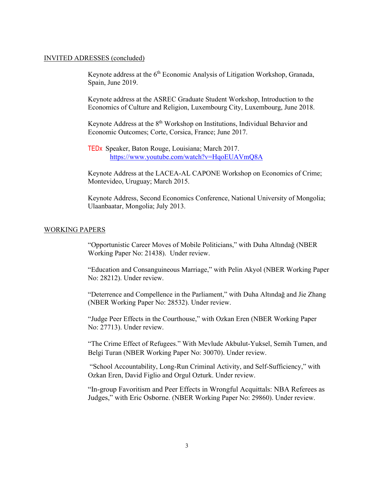#### INVITED ADRESSES (concluded)

Keynote address at the 6<sup>th</sup> Economic Analysis of Litigation Workshop, Granada, Spain, June 2019.

Keynote address at the ASREC Graduate Student Workshop, Introduction to the Economics of Culture and Religion, Luxembourg City, Luxembourg, June 2018.

Keynote Address at the  $8<sup>th</sup>$  Workshop on Institutions, Individual Behavior and Economic Outcomes; Corte, Corsica, France; June 2017.

TEDx Speaker, Baton Rouge, Louisiana; March 2017. <https://www.youtube.com/watch?v=HqoEUAVmQ8A>

Keynote Address at the LACEA-AL CAPONE Workshop on Economics of Crime; Montevideo, Uruguay; March 2015.

Keynote Address, Second Economics Conference, National University of Mongolia; Ulaanbaatar, Mongolia; July 2013.

#### WORKING PAPERS

"Opportunistic Career Moves of Mobile Politicians," with Duha Altındağ (NBER Working Paper No: 21438). Under review.

"Education and Consanguineous Marriage," with Pelin Akyol (NBER Working Paper No: 28212). Under review.

"Deterrence and Compellence in the Parliament," with Duha Altındağ and Jie Zhang (NBER Working Paper No: 28532). Under review.

"Judge Peer Effects in the Courthouse," with Ozkan Eren (NBER Working Paper No: 27713). Under review.

"The Crime Effect of Refugees." With Mevlude Akbulut-Yuksel, Semih Tumen, and Belgi Turan (NBER Working Paper No: 30070). Under review.

"School Accountability, Long-Run Criminal Activity, and Self-Sufficiency," with Ozkan Eren, David Figlio and Orgul Ozturk. Under review.

"In-group Favoritism and Peer Effects in Wrongful Acquittals: NBA Referees as Judges," with Eric Osborne. (NBER Working Paper No: 29860). Under review.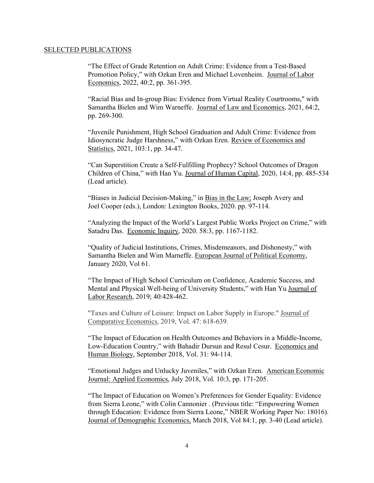#### SELECTED PUBLICATIONS

"The Effect of Grade Retention on Adult Crime: Evidence from a Test-Based Promotion Policy," with Ozkan Eren and Michael Lovenheim. Journal of Labor Economics, 2022, 40:2, pp. 361-395.

"Racial Bias and In-group Bias: Evidence from Virtual Reality Courtrooms," with Samantha Bielen and Wim Warneffe. Journal of Law and Economics, 2021, 64:2, pp. 269-300.

"Juvenile Punishment, High School Graduation and Adult Crime: Evidence from Idiosyncratic Judge Harshness," with Ozkan Eren. Review of Economics and Statistics, 2021, 103:1, pp. 34-47.

"Can Superstition Create a Self-Fulfilling Prophecy? School Outcomes of Dragon Children of China," with Han Yu. Journal of Human Capital, 2020, 14:4, pp. 485-534 (Lead article).

"Biases in Judicial Decision-Making," in Bias in the Law; Joseph Avery and Joel Cooper (eds.), London: Lexington Books, 2020. pp. 97-114.

"Analyzing the Impact of the World's Largest Public Works Project on Crime," with Satadru Das. Economic Inquiry, 2020. 58:3, pp. 1167-1182.

"Quality of Judicial Institutions, Crimes, Misdemeanors, and Dishonesty," with Samantha Bielen and Wim Marneffe. European Journal of Political Economy, January 2020, Vol 61.

"The Impact of High School Curriculum on Confidence, Academic Success, and Mental and Physical Well-being of University Students," with Han Yu Journal of Labor Research, 2019; 40:428-462.

"Taxes and Culture of Leisure: Impact on Labor Supply in Europe." Journal of Comparative Economics, 2019, Vol. 47: 618-639.

"The Impact of Education on Health Outcomes and Behaviors in a Middle-Income, Low-Education Country," with Bahadir Dursun and Resul Cesur. Economics and Human Biology, September 2018, Vol. 31: 94-114.

"Emotional Judges and Unlucky Juveniles," with Ozkan Eren. American Economic Journal: Applied Economics, July 2018, Vol. 10:3, pp. 171-205.

"The Impact of Education on Women's Preferences for Gender Equality: Evidence from Sierra Leone," with Colin Cannonier . (Previous title: "Empowering Women through Education: Evidence from Sierra Leone," NBER Working Paper No: 18016). Journal of Demographic Economics, March 2018, Vol 84:1, pp. 3-40 (Lead article).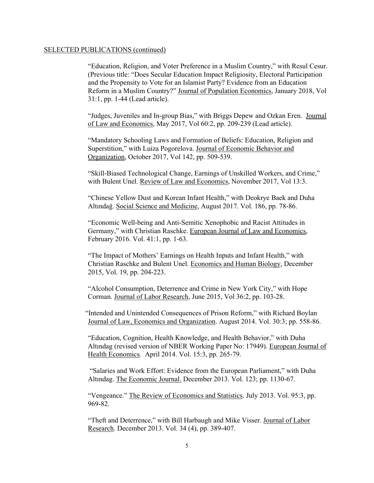"Education, Religion, and Voter Preference in a Muslim Country," with Resul Cesur. (Previous title: "Does Secular Education Impact Religiosity, Electoral Participation and the Propensity to Vote for an Islamist Party? Evidence from an Education Reform in a Muslim Country?" Journal of Population Economics, January 2018, Vol 31:1, pp. 1-44 (Lead article).

"Judges, Juveniles and In-group Bias," with Briggs Depew and Ozkan Eren. Journal of Law and Economics, May 2017, Vol 60:2, pp. 209-239 (Lead article).

"Mandatory Schooling Laws and Formation of Beliefs: Education, Religion and Superstition," with Luiza Pogorelova. Journal of Economic Behavior and Organization, October 2017, Vol 142, pp. 509-539.

"Skill-Biased Technological Change, Earnings of Unskilled Workers, and Crime," with Bulent Unel. Review of Law and Economics, November 2017, Vol 13:3.

"Chinese Yellow Dust and Korean Infant Health," with Deokrye Baek and Duha Altındağ. Social Science and Medicine, August 2017. Vol. 186, pp. 78-86.

"Economic Well-being and Anti-Semitic Xenophobic and Racist Attitudes in Germany," with Christian Raschke. European Journal of Law and Economics, February 2016. Vol. 41:1, pp. 1-63.

"The Impact of Mothers' Earnings on Health Inputs and Infant Health," with Christian Raschke and Bulent Unel. Economics and Human Biology, December 2015, Vol. 19, pp. 204-223.

"Alcohol Consumption, Deterrence and Crime in New York City," with Hope Corman. Journal of Labor Research, June 2015, Vol 36:2, pp. 103-28.

 "Intended and Unintended Consequences of Prison Reform," with Richard Boylan Journal of Law, Economics and Organization. August 2014. Vol. 30:3; pp. 558-86.

"Education, Cognition, Health Knowledge, and Health Behavior," with Duha Altındag (revised version of NBER Working Paper No: 17949). European Journal of Health Economics*.* April 2014. Vol. 15:3, pp. 265-79.

"Salaries and Work Effort: Evidence from the European Parliament," with Duha Altındag. The Economic Journal. December 2013. Vol. 123; pp. 1130-67.

"Vengeance." The Review of Economics and Statistics. July 2013. Vol. 95:3, pp. 969-82.

"Theft and Deterrence," with Bill Harbaugh and Mike Visser. Journal of Labor Research. December 2013. Vol. 34 (4), pp. 389-407.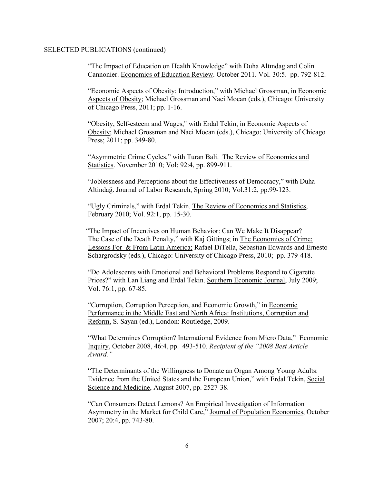"The Impact of Education on Health Knowledge" with Duha Altındag and Colin Cannonier. Economics of Education Review. October 2011. Vol. 30:5. pp. 792-812.

"Economic Aspects of Obesity: Introduction," with Michael Grossman, in Economic Aspects of Obesity; Michael Grossman and Naci Mocan (eds.), Chicago: University of Chicago Press, 2011; pp. 1-16.

"Obesity, Self-esteem and Wages," with Erdal Tekin, in Economic Aspects of Obesity; Michael Grossman and Naci Mocan (eds.), Chicago: University of Chicago Press; 2011; pp. 349-80.

"Asymmetric Crime Cycles," with Turan Bali. The Review of Economics and Statistics. November 2010; Vol: 92:4, pp. 899-911.

"Joblessness and Perceptions about the Effectiveness of Democracy," with Duha Altindağ. Journal of Labor Research, Spring 2010; Vol.31:2, pp.99-123.

"Ugly Criminals," with Erdal Tekin. The Review of Economics and Statistics, February 2010; Vol. 92:1, pp. 15-30.

 "The Impact of Incentives on Human Behavior: Can We Make It Disappear? The Case of the Death Penalty," with Kaj Gittings; in The Economics of Crime: Lessons For & From Latin America; Rafael DiTella, Sebastian Edwards and Ernesto Schargrodsky (eds.), Chicago: University of Chicago Press, 2010; pp. 379-418.

"Do Adolescents with Emotional and Behavioral Problems Respond to Cigarette Prices?" with Lan Liang and Erdal Tekin. Southern Economic Journal, July 2009; Vol. 76:1, pp. 67-85.

"Corruption, Corruption Perception, and Economic Growth," in Economic Performance in the Middle East and North Africa: Institutions, Corruption and Reform, S. Sayan (ed.), London: Routledge, 2009.

"What Determines Corruption? International Evidence from Micro Data," Economic Inquiry, October 2008, 46:4, pp. 493-510. *Recipient of the "2008 Best Article Award."*

"The Determinants of the Willingness to Donate an Organ Among Young Adults: Evidence from the United States and the European Union," with Erdal Tekin, Social Science and Medicine, August 2007, pp. 2527-38.

"Can Consumers Detect Lemons? An Empirical Investigation of Information Asymmetry in the Market for Child Care," Journal of Population Economics, October 2007; 20:4, pp. 743-80.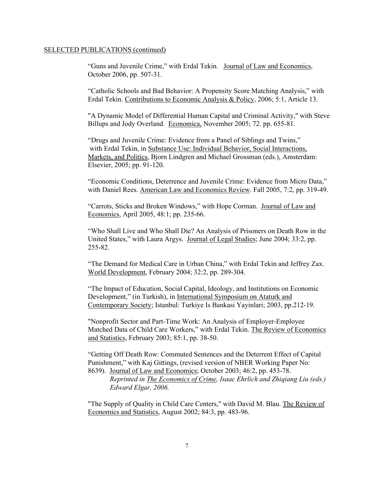"Guns and Juvenile Crime," with Erdal Tekin. Journal of Law and Economics, October 2006, pp. 507-31.

"Catholic Schools and Bad Behavior: A Propensity Score Matching Analysis," with Erdal Tekin. Contributions to Economic Analysis & Policy, 2006; 5:1, Article 13.

"A Dynamic Model of Differential Human Capital and Criminal Activity," with Steve Billups and Jody Overland*.* Economica, November 2005; 72. pp. 655-81.

"Drugs and Juvenile Crime: Evidence from a Panel of Siblings and Twins," with Erdal Tekin, in Substance Use: Individual Behavior, Social Interactions, Markets, and Politics, Bjorn Lindgren and Michael Grossman (eds.), Amsterdam: Elsevier, 2005; pp. 91-120.

"Economic Conditions, Deterrence and Juvenile Crime: Evidence from Micro Data," with Daniel Rees. American Law and Economics Review. Fall 2005, 7:2, pp. 319-49.

"Carrots, Sticks and Broken Windows," with Hope Corman. Journal of Law and Economics, April 2005, 48:1; pp. 235-66.

"Who Shall Live and Who Shall Die? An Analysis of Prisoners on Death Row in the United States," with Laura Argys. Journal of Legal Studies; June 2004; 33:2, pp. 255-82.

"The Demand for Medical Care in Urban China," with Erdal Tekin and Jeffrey Zax. World Development, February 2004; 32:2, pp. 289-304.

"The Impact of Education, Social Capital, Ideology, and Institutions on Economic Development," (in Turkish), in International Symposium on Ataturk and Contemporary Society; Istanbul: Turkiye Is Bankasi Yayinlari; 2003, pp.212-19.

"Nonprofit Sector and Part-Time Work: An Analysis of Employer-Employee Matched Data of Child Care Workers," with Erdal Tekin. The Review of Economics and Statistics, February 2003; 85:1, pp. 38-50.

"Getting Off Death Row: Commuted Sentences and the Deterrent Effect of Capital Punishment," with Kaj Gittings, (revised version of NBER Working Paper No: 8639). Journal of Law and Economics; October 2003; 46:2, pp. 453-78.

*Reprinted in The Economics of Crime, Isaac Ehrlich and Zhiqiang Liu (eds.) Edward Elgar, 2006.*

"The Supply of Quality in Child Care Centers," with David M. Blau. The Review of Economics and Statistics, August 2002; 84:3, pp. 483-96.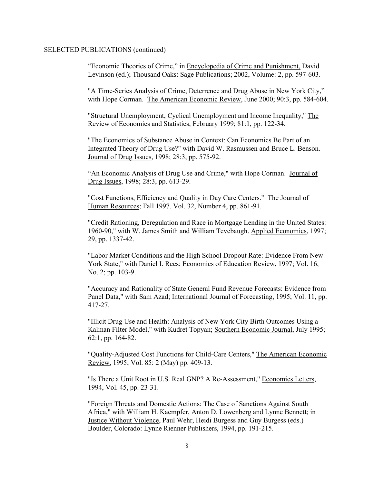"Economic Theories of Crime," in Encyclopedia of Crime and Punishment, David Levinson (ed.); Thousand Oaks: Sage Publications; 2002, Volume: 2, pp. 597-603.

"A Time-Series Analysis of Crime, Deterrence and Drug Abuse in New York City," with Hope Corman. The American Economic Review, June 2000; 90:3, pp. 584-604.

"Structural Unemployment, Cyclical Unemployment and Income Inequality," The Review of Economics and Statistics, February 1999; 81:1, pp. 122-34.

"The Economics of Substance Abuse in Context: Can Economics Be Part of an Integrated Theory of Drug Use?" with David W. Rasmussen and Bruce L. Benson. Journal of Drug Issues, 1998; 28:3, pp. 575-92.

"An Economic Analysis of Drug Use and Crime," with Hope Corman. Journal of Drug Issues, 1998; 28:3, pp. 613-29.

"Cost Functions, Efficiency and Quality in Day Care Centers." The Journal of Human Resources; Fall 1997. Vol. 32, Number 4, pp. 861-91.

"Credit Rationing, Deregulation and Race in Mortgage Lending in the United States: 1960-90," with W. James Smith and William Tevebaugh. Applied Economics, 1997; 29, pp. 1337-42.

"Labor Market Conditions and the High School Dropout Rate: Evidence From New York State," with Daniel I. Rees; Economics of Education Review, 1997; Vol. 16, No. 2; pp. 103-9.

"Accuracy and Rationality of State General Fund Revenue Forecasts: Evidence from Panel Data," with Sam Azad; International Journal of Forecasting, 1995; Vol. 11, pp. 417-27.

"Illicit Drug Use and Health: Analysis of New York City Birth Outcomes Using a Kalman Filter Model," with Kudret Topyan; Southern Economic Journal, July 1995; 62:1, pp. 164-82.

"Quality-Adjusted Cost Functions for Child-Care Centers," The American Economic Review, 1995; Vol. 85: 2 (May) pp. 409-13.

"Is There a Unit Root in U.S. Real GNP? A Re-Assessment," Economics Letters, 1994, Vol. 45, pp. 23-31.

"Foreign Threats and Domestic Actions: The Case of Sanctions Against South Africa," with William H. Kaempfer, Anton D. Lowenberg and Lynne Bennett; in Justice Without Violence, Paul Wehr, Heidi Burgess and Guy Burgess (eds.) Boulder, Colorado: Lynne Rienner Publishers, 1994, pp. 191-215.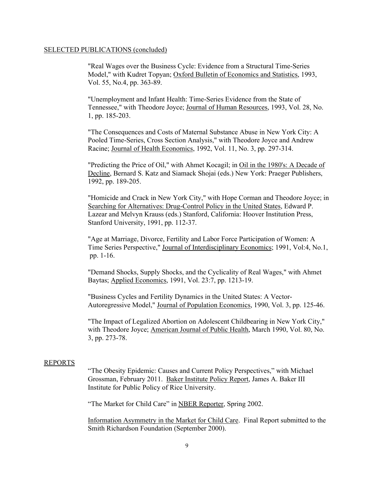"Real Wages over the Business Cycle: Evidence from a Structural Time-Series Model," with Kudret Topyan; Oxford Bulletin of Economics and Statistics, 1993, Vol. 55, No.4, pp. 363-89.

"Unemployment and Infant Health: Time-Series Evidence from the State of Tennessee," with Theodore Joyce; Journal of Human Resources, 1993, Vol. 28, No. 1, pp. 185-203.

"The Consequences and Costs of Maternal Substance Abuse in New York City: A Pooled Time-Series, Cross Section Analysis," with Theodore Joyce and Andrew Racine; Journal of Health Economics, 1992, Vol. 11, No. 3, pp. 297-314.

"Predicting the Price of Oil," with Ahmet Kocagil; in Oil in the 1980's: A Decade of Decline, Bernard S. Katz and Siamack Shojai (eds.) New York: Praeger Publishers, 1992, pp. 189-205.

"Homicide and Crack in New York City," with Hope Corman and Theodore Joyce; in Searching for Alternatives: Drug-Control Policy in the United States, Edward P. Lazear and Melvyn Krauss (eds.) Stanford, California: Hoover Institution Press, Stanford University, 1991, pp. 112-37.

"Age at Marriage, Divorce, Fertility and Labor Force Participation of Women: A Time Series Perspective," Journal of Interdisciplinary Economics; 1991, Vol:4, No.1, pp. 1-16.

"Demand Shocks, Supply Shocks, and the Cyclicality of Real Wages," with Ahmet Baytas; Applied Economics, 1991, Vol. 23:7, pp. 1213-19.

"Business Cycles and Fertility Dynamics in the United States: A Vector-Autoregressive Model," Journal of Population Economics, 1990, Vol. 3, pp. 125-46.

"The Impact of Legalized Abortion on Adolescent Childbearing in New York City," with Theodore Joyce; American Journal of Public Health, March 1990, Vol. 80, No. 3, pp. 273-78.

#### REPORTS

"The Obesity Epidemic: Causes and Current Policy Perspectives," with Michael Grossman, February 2011. Baker Institute Policy Report, James A. Baker III Institute for Public Policy of Rice University.

"The Market for Child Care" in NBER Reporter, Spring 2002.

Information Asymmetry in the Market for Child Care. Final Report submitted to the Smith Richardson Foundation (September 2000).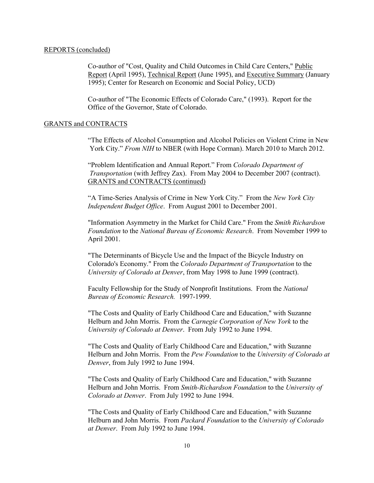## REPORTS (concluded)

Co-author of "Cost, Quality and Child Outcomes in Child Care Centers," Public Report (April 1995), Technical Report (June 1995), and Executive Summary (January 1995); Center for Research on Economic and Social Policy, UCD)

Co-author of "The Economic Effects of Colorado Care," (1993). Report for the Office of the Governor, State of Colorado.

### GRANTS and CONTRACTS

"The Effects of Alcohol Consumption and Alcohol Policies on Violent Crime in New York City." *From NIH* to NBER (with Hope Corman). March 2010 to March 2012.

"Problem Identification and Annual Report." From *Colorado Department of Transportation* (with Jeffrey Zax). From May 2004 to December 2007 (contract). GRANTS and CONTRACTS (continued)

"A Time-Series Analysis of Crime in New York City." From the *New York City Independent Budget Office*. From August 2001 to December 2001.

"Information Asymmetry in the Market for Child Care." From the *Smith Richardson Foundation* to the *National Bureau of Economic Research*. From November 1999 to April 2001.

"The Determinants of Bicycle Use and the Impact of the Bicycle Industry on Colorado's Economy." From the *Colorado Department of Transportation* to the *University of Colorado at Denver*, from May 1998 to June 1999 (contract).

Faculty Fellowship for the Study of Nonprofit Institutions. From the *National Bureau of Economic Research.* 1997-1999.

"The Costs and Quality of Early Childhood Care and Education," with Suzanne Helburn and John Morris. From the *Carnegie Corporation of New York* to the *University of Colorado at Denver*. From July 1992 to June 1994.

"The Costs and Quality of Early Childhood Care and Education," with Suzanne Helburn and John Morris. From the *Pew Foundation* to the *University of Colorado at Denver*, from July 1992 to June 1994.

"The Costs and Quality of Early Childhood Care and Education," with Suzanne Helburn and John Morris. From *Smith-Richardson Foundation* to the *University of Colorado at Denver*. From July 1992 to June 1994.

"The Costs and Quality of Early Childhood Care and Education," with Suzanne Helburn and John Morris. From *Packard Foundation* to the *University of Colorado at Denver*. From July 1992 to June 1994.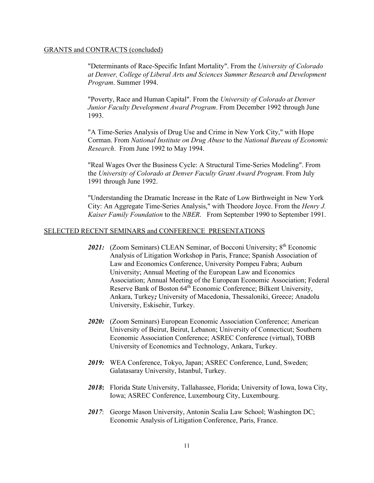#### GRANTS and CONTRACTS (concluded)

"Determinants of Race-Specific Infant Mortality". From the *University of Colorado at Denver, College of Liberal Arts and Sciences Summer Research and Development Program*. Summer 1994.

"Poverty, Race and Human Capital". From the *University of Colorado at Denver Junior Faculty Development Award Program*. From December 1992 through June 1993.

"A Time-Series Analysis of Drug Use and Crime in New York City," with Hope Corman. From *National Institute on Drug Abuse* to the *National Bureau of Economic Research*. From June 1992 to May 1994.

"Real Wages Over the Business Cycle: A Structural Time-Series Modeling". From the *University of Colorado at Denver Faculty Grant Award Program*. From July 1991 through June 1992.

"Understanding the Dramatic Increase in the Rate of Low Birthweight in New York City: An Aggregate Time-Series Analysis," with Theodore Joyce. From the *Henry J. Kaiser Family Foundation* to the *NBER*. From September 1990 to September 1991.

## SELECTED RECENT SEMINARS and CONFERENCE PRESENTATIONS

- 2021: (Zoom Seminars) CLEAN Seminar, of Bocconi University; 8<sup>th</sup> Economic Analysis of Litigation Workshop in Paris, France; Spanish Association of Law and Economics Conference, University Pompeu Fabra; Auburn University; Annual Meeting of the European Law and Economics Association; Annual Meeting of the European Economic Association; Federal Reserve Bank of Boston 64<sup>th</sup> Economic Conference; Bilkent University, Ankara, Turkey*;* University of Macedonia, Thessaloniki, Greece; Anadolu University, Eskisehir, Turkey.
- *2020:* (Zoom Seminars) European Economic Association Conference; American University of Beirut, Beirut, Lebanon; University of Connecticut; Southern Economic Association Conference; ASREC Conference (virtual), TOBB University of Economics and Technology, Ankara, Turkey.
- *2019:* WEA Conference, Tokyo, Japan; ASREC Conference, Lund, Sweden; Galatasaray University, Istanbul, Turkey.
- *2018***:** Florida State University, Tallahassee, Florida; University of Iowa, Iowa City, Iowa; ASREC Conference, Luxembourg City, Luxembourg.
- *2017*: George Mason University, Antonin Scalia Law School; Washington DC; Economic Analysis of Litigation Conference, Paris, France.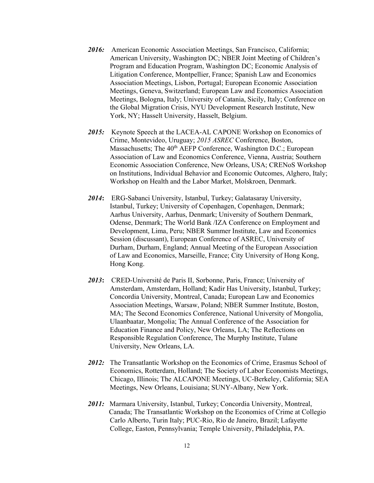- 2016: American Economic Association Meetings, San Francisco, California; American University, Washington DC; NBER Joint Meeting of Children's Program and Education Program, Washington DC; Economic Analysis of Litigation Conference, Montpellier, France; Spanish Law and Economics Association Meetings, Lisbon, Portugal; European Economic Association Meetings, Geneva, Switzerland; European Law and Economics Association Meetings, Bologna, Italy; University of Catania, Sicily, Italy; Conference on the Global Migration Crisis, NYU Development Research Institute, New York, NY; Hasselt University, Hasselt, Belgium.
- *2015:* Keynote Speech at the LACEA-AL CAPONE Workshop on Economics of Crime, Montevideo, Uruguay; *2015 ASREC* Conference, Boston, Massachusetts; The 40<sup>th</sup> AEFP Conference, Washington D.C.; European Association of Law and Economics Conference, Vienna, Austria; Southern Economic Association Conference, New Orleans, USA; CRENoS Workshop on Institutions, Individual Behavior and Economic Outcomes, Alghero, Italy; Workshop on Health and the Labor Market, Molskroen, Denmark.
- *2014***:** ERG-Sabanci University, Istanbul, Turkey; Galatasaray University, Istanbul, Turkey; University of Copenhagen, Copenhagen, Denmark; Aarhus University, Aarhus, Denmark; University of Southern Denmark, Odense, Denmark; The World Bank /IZA Conference on Employment and Development, Lima, Peru; NBER Summer Institute, Law and Economics Session (discussant), European Conference of ASREC, University of Durham, Durham, England; Annual Meeting of the European Association of Law and Economics, Marseille, France; City University of Hong Kong, Hong Kong.
- *2013***:** CRED-Université de Paris II, Sorbonne, Paris, France; University of Amsterdam, Amsterdam, Holland; Kadir Has University, Istanbul, Turkey; Concordia University, Montreal, Canada; European Law and Economics Association Meetings, Warsaw, Poland; NBER Summer Institute, Boston, MA; The Second Economics Conference, National University of Mongolia, Ulaanbaatar, Mongolia; The Annual Conference of the Association for Education Finance and Policy, New Orleans, LA; The Reflections on Responsible Regulation Conference, The Murphy Institute, Tulane University, New Orleans, LA.
- *2012:* The Transatlantic Workshop on the Economics of Crime, Erasmus School of Economics, Rotterdam, Holland; The Society of Labor Economists Meetings, Chicago, Illinois; The ALCAPONE Meetings, UC-Berkeley, California; SEA Meetings, New Orleans, Louisiana; SUNY-Albany, New York.
- *2011:* Marmara University, Istanbul, Turkey; Concordia University, Montreal, Canada; The Transatlantic Workshop on the Economics of Crime at Collegio Carlo Alberto, Turin Italy; PUC-Rio, Rio de Janeiro, Brazil; Lafayette College, Easton, Pennsylvania; Temple University, Philadelphia, PA.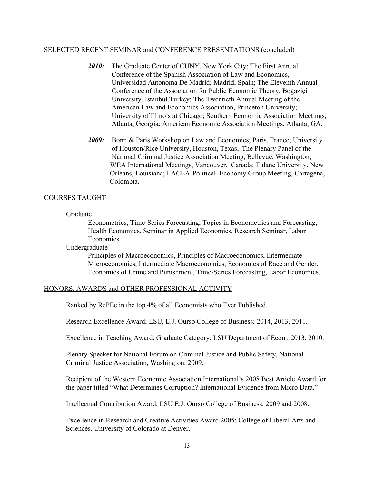## SELECTED RECENT SEMINAR and CONFERENCE PRESENTATIONS (concluded)

- 2010: The Graduate Center of CUNY, New York City; The First Annual Conference of the Spanish Association of Law and Economics, Universidad Autonoma De Madrid; Madrid, Spain; The Eleventh Annual Conference of the Association for Public Economic Theory, Boğaziçi University, Istanbul,Turkey; The Twentieth Annual Meeting of the American Law and Economics Association, Princeton University; University of Illinois at Chicago; Southern Economic Association Meetings, Atlanta, Georgia; American Economic Association Meetings, Atlanta, GA.
- *2009:* Bonn & Paris Workshop on Law and Economics; Paris, France; University of Houston/Rice University, Houston, Texas; The Plenary Panel of the National Criminal Justice Association Meeting, Bellevue, Washington; WEA International Meetings, Vancouver, Canada; Tulane University, New Orleans, Louisiana; LACEA-Political Economy Group Meeting, Cartagena, Colombia.

## COURSES TAUGHT

## Graduate

Econometrics, Time-Series Forecasting, Topics in Econometrics and Forecasting, Health Economics, Seminar in Applied Economics, Research Seminar, Labor Economics.

Undergraduate

Principles of Macroeconomics, Principles of Macroeconomics, Intermediate Microeconomics, Intermediate Macroeconomics, Economics of Race and Gender, Economics of Crime and Punishment, Time-Series Forecasting, Labor Economics.

## HONORS, AWARDS and OTHER PROFESSIONAL ACTIVITY

Ranked by RePEc in the top 4% of all Economists who Ever Published.

Research Excellence Award; LSU, E.J. Ourso College of Business; 2014, 2013, 2011.

Excellence in Teaching Award, Graduate Category; LSU Department of Econ.; 2013, 2010.

Plenary Speaker for National Forum on Criminal Justice and Public Safety, National Criminal Justice Association, Washington, 2009.

Recipient of the Western Economic Association International's 2008 Best Article Award for the paper titled "What Determines Corruption? International Evidence from Micro Data."

Intellectual Contribution Award, LSU E.J. Ourso College of Business; 2009 and 2008.

Excellence in Research and Creative Activities Award 2005; College of Liberal Arts and Sciences, University of Colorado at Denver.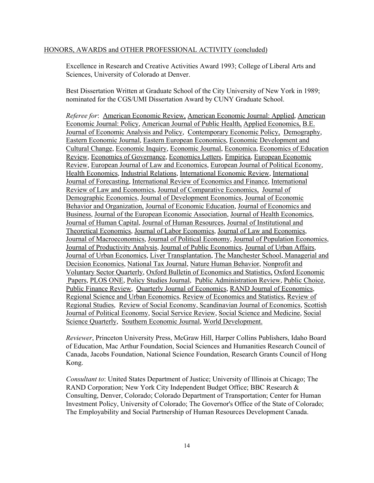#### HONORS, AWARDS and OTHER PROFESSIONAL ACTIVITY (concluded)

Excellence in Research and Creative Activities Award 1993; College of Liberal Arts and Sciences, University of Colorado at Denver.

Best Dissertation Written at Graduate School of the City University of New York in 1989; nominated for the CGS/UMI Dissertation Award by CUNY Graduate School.

*Referee for*: American Economic Review, American Economic Journal: Applied, American Economic Journal: Policy, American Journal of Public Health, Applied Economics, B.E. Journal of Economic Analysis and Policy, Contemporary Economic Policy, Demography, Eastern Economic Journal, Eastern European Economics, Economic Development and Cultural Change, Economic Inquiry, Economic Journal, Economica, Economics of Education Review, Economics of Governance, Economics Letters, Empirica, European Economic Review, European Journal of Law and Economics, European Journal of Political Economy, Health Economics, Industrial Relations, International Economic Review, International Journal of Forecasting, International Review of Economics and Finance, International Review of Law and Economics, Journal of Comparative Economics, Journal of Demographic Economics, Journal of Development Economics, Journal of Economic Behavior and Organization, Journal of Economic Education, Journal of Economics and Business, Journal of the European Economic Association, Journal of Health Economics, Journal of Human Capital, Journal of Human Resources, Journal of Institutional and Theoretical Economics, Journal of Labor Economics, Journal of Law and Economics, Journal of Macroeconomics, Journal of Political Economy, Journal of Population Economics, Journal of Productivity Analysis, Journal of Public Economics, Journal of Urban Affairs, Journal of Urban Economics, Liver Transplantation, The Manchester School, Managerial and Decision Economics, National Tax Journal, Nature Human Behavior, Nonprofit and Voluntary Sector Quarterly, Oxford Bulletin of Economics and Statistics, Oxford Economic Papers, PLOS ONE, Policy Studies Journal, Public Administration Review, Public Choice, Public Finance Review, Quarterly Journal of Economics, RAND Journal of Economics, Regional Science and Urban Economics, Review of Economics and Statistics, Review of Regional Studies, Review of Social Economy, Scandinavian Journal of Economics, Scottish Journal of Political Economy, Social Service Review, Social Science and Medicine, Social Science Quarterly, Southern Economic Journal, World Development.

*Reviewer*, Princeton University Press, McGraw Hill, Harper Collins Publishers, Idaho Board of Education, Mac Arthur Foundation, Social Sciences and Humanities Research Council of Canada, Jacobs Foundation, National Science Foundation, Research Grants Council of Hong Kong.

*Consultant to*: United States Department of Justice; University of Illinois at Chicago; The RAND Corporation; New York City Independent Budget Office; BBC Research & Consulting, Denver, Colorado; Colorado Department of Transportation; Center for Human Investment Policy, University of Colorado; The Governor's Office of the State of Colorado; The Employability and Social Partnership of Human Resources Development Canada.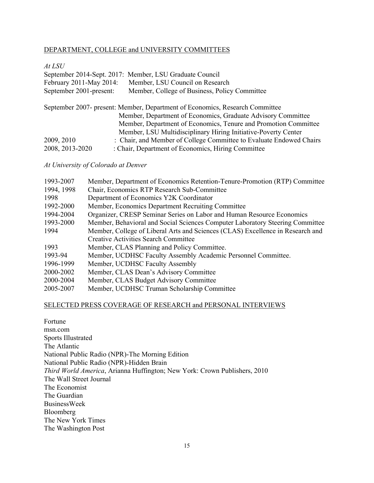# DEPARTMENT, COLLEGE and UNIVERSITY COMMITTEES

# *At LSU*

|                                                                              | September 2014-Sept. 2017: Member, LSU Graduate Council             |  |  |  |
|------------------------------------------------------------------------------|---------------------------------------------------------------------|--|--|--|
| February 2011-May 2014:                                                      | Member, LSU Council on Research                                     |  |  |  |
| September 2001-present:                                                      | Member, College of Business, Policy Committee                       |  |  |  |
|                                                                              |                                                                     |  |  |  |
| September 2007- present: Member, Department of Economics, Research Committee |                                                                     |  |  |  |
|                                                                              | Member, Department of Economics, Graduate Advisory Committee        |  |  |  |
|                                                                              | Member, Department of Economics, Tenure and Promotion Committee     |  |  |  |
|                                                                              | Member, LSU Multidisciplinary Hiring Initiative-Poverty Center      |  |  |  |
| 2009, 2010                                                                   | : Chair, and Member of College Committee to Evaluate Endowed Chairs |  |  |  |
| 2008, 2013-2020                                                              | : Chair, Department of Economics, Hiring Committee                  |  |  |  |

*At University of Colorado at Denver*

| 1993-2007  | Member, Department of Economics Retention-Tenure-Promotion (RTP) Committee     |
|------------|--------------------------------------------------------------------------------|
| 1994, 1998 | Chair, Economics RTP Research Sub-Committee                                    |
| 1998       | Department of Economics Y2K Coordinator                                        |
| 1992-2000  | Member, Economics Department Recruiting Committee                              |
| 1994-2004  | Organizer, CRESP Seminar Series on Labor and Human Resource Economics          |
| 1993-2000  | Member, Behavioral and Social Sciences Computer Laboratory Steering Committee  |
| 1994       | Member, College of Liberal Arts and Sciences (CLAS) Excellence in Research and |
|            | <b>Creative Activities Search Committee</b>                                    |
| 1993       | Member, CLAS Planning and Policy Committee.                                    |
| 1993-94    | Member, UCDHSC Faculty Assembly Academic Personnel Committee.                  |
| 1996-1999  | Member, UCDHSC Faculty Assembly                                                |
| 2000-2002  | Member, CLAS Dean's Advisory Committee                                         |
| 2000-2004  | Member, CLAS Budget Advisory Committee                                         |
| 2005-2007  | Member, UCDHSC Truman Scholarship Committee                                    |

# SELECTED PRESS COVERAGE OF RESEARCH and PERSONAL INTERVIEWS

| Fortune                                                                          |
|----------------------------------------------------------------------------------|
| msn.com                                                                          |
| Sports Illustrated                                                               |
| The Atlantic                                                                     |
| National Public Radio (NPR)-The Morning Edition                                  |
| National Public Radio (NPR)-Hidden Brain                                         |
| <i>Third World America, Arianna Huffington; New York: Crown Publishers, 2010</i> |
| The Wall Street Journal                                                          |
| The Economist                                                                    |
| The Guardian                                                                     |
| <b>BusinessWeek</b>                                                              |
| Bloomberg                                                                        |
| The New York Times                                                               |
| The Washington Post                                                              |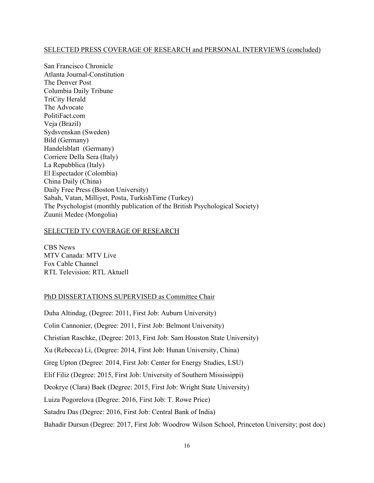## SELECTED PRESS COVERAGE OF RESEARCH and PERSONAL INTERVIEWS (concluded)

San Francisco Chronicle Atlanta Journal-Constitution The Denver Post Columbia Daily Tribune TriCity Herald The Advocate PolitiFact.com Veja (Brazil) Sydsvenskan (Sweden) Bild (Germany) Handelsblatt (Germany) Corriere Della Sera (Italy) La Repubblica (Italy) El Espectador (Colombia) China Daily (China) Daily Free Press (Boston University) Sabah, Vatan, Milliyet, Posta, TurkishTime (Turkey) The Psychologist (monthly publication of the British Psychological Society) Zuunii Medee (Mongolia)

## SELECTED TV COVERAGE OF RESEARCH

CBS News MTV Canada: MTV Live Fox Cable Channel RTL Television: RTL Aktuell

# PhD DISSERTATIONS SUPERVISED as Committee Chair

Duha Altindag, (Degree: 2011, First Job: Auburn University) Colin Cannonier, (Degree: 2011, First Job: Belmont University) Christian Raschke, (Degree: 2013, First Job: Sam Houston State University) Xu (Rebecca) Li, (Degree: 2014, First Job: Hunan University, China) Greg Upton (Degree: 2014, First Job: Center for Energy Studies, LSU) Elif Filiz (Degree: 2015, First Job: University of Southern Mississippi) Deokrye (Clara) Baek (Degree: 2015, First Job: Wright State University) Luiza Pogorelova (Degree: 2016, First Job: T. Rowe Price) Satadru Das (Degree: 2016, First Job: Central Bank of India) Bahadir Dursun (Degree: 2017, First Job: Woodrow Wilson School, Princeton University; post doc)